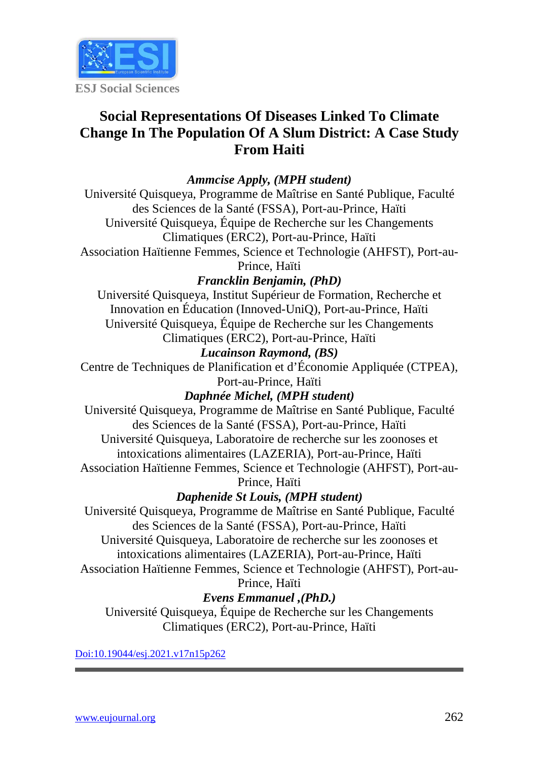

# **Social Representations Of Diseases Linked To Climate Change In The Population Of A Slum District: A Case Study From Haiti**

# *Ammcise Apply, (MPH student)*

Université Quisqueya, Programme de Maîtrise en Santé Publique, Faculté des Sciences de la Santé (FSSA), Port-au-Prince, Haïti Université Quisqueya, Équipe de Recherche sur les Changements Climatiques (ERC2), Port-au-Prince, Haïti

Association Haïtienne Femmes, Science et Technologie (AHFST), Port-au-Prince, Haïti

# *Francklin Benjamin, (PhD)*

Université Quisqueya, Institut Supérieur de Formation, Recherche et Innovation en Éducation (Innoved-UniQ), Port-au-Prince, Haïti Université Quisqueya, Équipe de Recherche sur les Changements Climatiques (ERC2), Port-au-Prince, Haïti

# *Lucainson Raymond, (BS)*

Centre de Techniques de Planification et d'Économie Appliquée (CTPEA), Port-au-Prince, Haïti

*Daphnée Michel, (MPH student)*

Université Quisqueya, Programme de Maîtrise en Santé Publique, Faculté des Sciences de la Santé (FSSA), Port-au-Prince, Haïti Université Quisqueya, Laboratoire de recherche sur les zoonoses et intoxications alimentaires (LAZERIA), Port-au-Prince, Haïti Association Haïtienne Femmes, Science et Technologie (AHFST), Port-au-Prince, Haïti

*Daphenide St Louis, (MPH student)*

Université Quisqueya, Programme de Maîtrise en Santé Publique, Faculté des Sciences de la Santé (FSSA), Port-au-Prince, Haïti Université Quisqueya, Laboratoire de recherche sur les zoonoses et intoxications alimentaires (LAZERIA), Port-au-Prince, Haïti Association Haïtienne Femmes, Science et Technologie (AHFST), Port-au-Prince, Haïti

*Evens Emmanuel ,(PhD.)*

Université Quisqueya, Équipe de Recherche sur les Changements Climatiques (ERC2), Port-au-Prince, Haïti

[Doi:10.19044/esj.2021.v17n15p262](https://doi.org/10.19044/esj.2021.v17n15p1)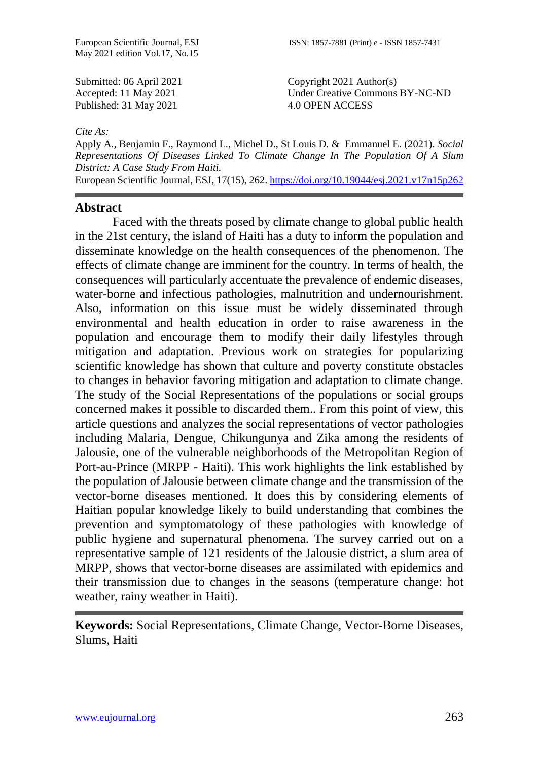May 2021 edition Vol.17, No.15

Submitted: 06 April 2021 Accepted: 11 May 2021 Published: 31 May 2021

Copyright 2021 Author(s) Under Creative Commons BY-NC-ND 4.0 OPEN ACCESS

#### *Cite As:*

Apply A., Benjamin F., Raymond L., Michel D., St Louis D. & Emmanuel E. (2021). *Social Representations Of Diseases Linked To Climate Change In The Population Of A Slum District: A Case Study From Haiti.*

European Scientific Journal, ESJ, 17(15), 262[. https://doi.org/10.19044/esj.2021.v17n15p262](https://doi.org/10.19044/esj.2021.v17n15p262)

#### **Abstract**

Faced with the threats posed by climate change to global public health in the 21st century, the island of Haiti has a duty to inform the population and disseminate knowledge on the health consequences of the phenomenon. The effects of climate change are imminent for the country. In terms of health, the consequences will particularly accentuate the prevalence of endemic diseases, water-borne and infectious pathologies, malnutrition and undernourishment. Also, information on this issue must be widely disseminated through environmental and health education in order to raise awareness in the population and encourage them to modify their daily lifestyles through mitigation and adaptation. Previous work on strategies for popularizing scientific knowledge has shown that culture and poverty constitute obstacles to changes in behavior favoring mitigation and adaptation to climate change. The study of the Social Representations of the populations or social groups concerned makes it possible to discarded them.. From this point of view, this article questions and analyzes the social representations of vector pathologies including Malaria, Dengue, Chikungunya and Zika among the residents of Jalousie, one of the vulnerable neighborhoods of the Metropolitan Region of Port-au-Prince (MRPP - Haiti). This work highlights the link established by the population of Jalousie between climate change and the transmission of the vector-borne diseases mentioned. It does this by considering elements of Haitian popular knowledge likely to build understanding that combines the prevention and symptomatology of these pathologies with knowledge of public hygiene and supernatural phenomena. The survey carried out on a representative sample of 121 residents of the Jalousie district, a slum area of MRPP, shows that vector-borne diseases are assimilated with epidemics and their transmission due to changes in the seasons (temperature change: hot weather, rainy weather in Haiti).

**Keywords:** Social Representations, Climate Change, Vector-Borne Diseases, Slums, Haiti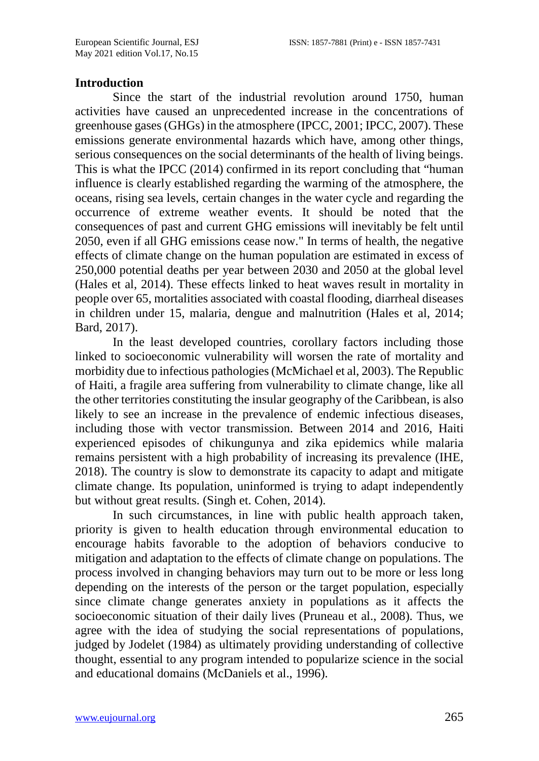#### **Introduction**

Since the start of the industrial revolution around 1750, human activities have caused an unprecedented increase in the concentrations of greenhouse gases (GHGs) in the atmosphere (IPCC, 2001; IPCC, 2007). These emissions generate environmental hazards which have, among other things, serious consequences on the social determinants of the health of living beings. This is what the IPCC (2014) confirmed in its report concluding that "human influence is clearly established regarding the warming of the atmosphere, the oceans, rising sea levels, certain changes in the water cycle and regarding the occurrence of extreme weather events. It should be noted that the consequences of past and current GHG emissions will inevitably be felt until 2050, even if all GHG emissions cease now." In terms of health, the negative effects of climate change on the human population are estimated in excess of 250,000 potential deaths per year between 2030 and 2050 at the global level (Hales et al, 2014). These effects linked to heat waves result in mortality in people over 65, mortalities associated with coastal flooding, diarrheal diseases in children under 15, malaria, dengue and malnutrition (Hales et al, 2014; Bard, 2017).

In the least developed countries, corollary factors including those linked to socioeconomic vulnerability will worsen the rate of mortality and morbidity due to infectious pathologies (McMichael et al, 2003). The Republic of Haiti, a fragile area suffering from vulnerability to climate change, like all the other territories constituting the insular geography of the Caribbean, is also likely to see an increase in the prevalence of endemic infectious diseases, including those with vector transmission. Between 2014 and 2016, Haiti experienced episodes of chikungunya and zika epidemics while malaria remains persistent with a high probability of increasing its prevalence (IHE, 2018). The country is slow to demonstrate its capacity to adapt and mitigate climate change. Its population, uninformed is trying to adapt independently but without great results. (Singh et. Cohen, 2014).

In such circumstances, in line with public health approach taken, priority is given to health education through environmental education to encourage habits favorable to the adoption of behaviors conducive to mitigation and adaptation to the effects of climate change on populations. The process involved in changing behaviors may turn out to be more or less long depending on the interests of the person or the target population, especially since climate change generates anxiety in populations as it affects the socioeconomic situation of their daily lives (Pruneau et al., 2008). Thus, we agree with the idea of studying the social representations of populations, judged by Jodelet (1984) as ultimately providing understanding of collective thought, essential to any program intended to popularize science in the social and educational domains (McDaniels et al., 1996).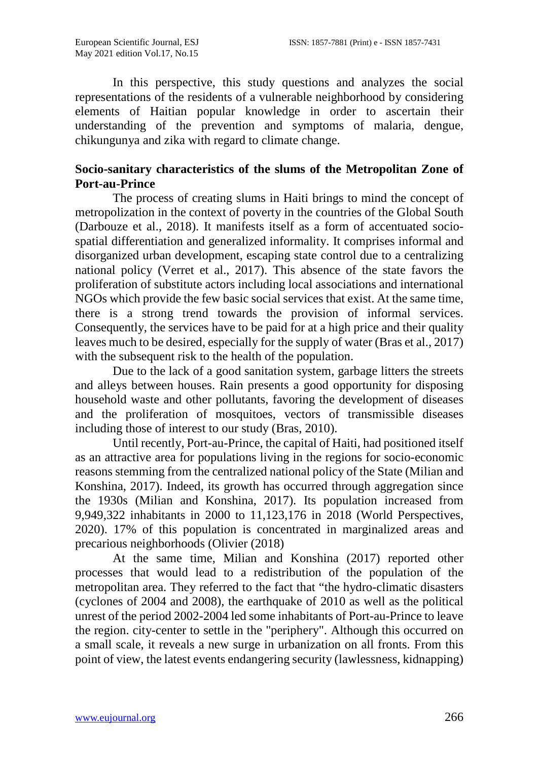In this perspective, this study questions and analyzes the social representations of the residents of a vulnerable neighborhood by considering elements of Haitian popular knowledge in order to ascertain their understanding of the prevention and symptoms of malaria, dengue, chikungunya and zika with regard to climate change.

# **Socio-sanitary characteristics of the slums of the Metropolitan Zone of Port-au-Prince**

The process of creating slums in Haiti brings to mind the concept of metropolization in the context of poverty in the countries of the Global South (Darbouze et al., 2018). It manifests itself as a form of accentuated sociospatial differentiation and generalized informality. It comprises informal and disorganized urban development, escaping state control due to a centralizing national policy (Verret et al., 2017). This absence of the state favors the proliferation of substitute actors including local associations and international NGOs which provide the few basic social services that exist. At the same time, there is a strong trend towards the provision of informal services. Consequently, the services have to be paid for at a high price and their quality leaves much to be desired, especially for the supply of water (Bras et al., 2017) with the subsequent risk to the health of the population.

Due to the lack of a good sanitation system, garbage litters the streets and alleys between houses. Rain presents a good opportunity for disposing household waste and other pollutants, favoring the development of diseases and the proliferation of mosquitoes, vectors of transmissible diseases including those of interest to our study (Bras, 2010).

Until recently, Port-au-Prince, the capital of Haiti, had positioned itself as an attractive area for populations living in the regions for socio-economic reasons stemming from the centralized national policy of the State (Milian and Konshina, 2017). Indeed, its growth has occurred through aggregation since the 1930s (Milian and Konshina, 2017). Its population increased from 9,949,322 inhabitants in 2000 to 11,123,176 in 2018 (World Perspectives, 2020). 17% of this population is concentrated in marginalized areas and precarious neighborhoods (Olivier (2018)

At the same time, Milian and Konshina (2017) reported other processes that would lead to a redistribution of the population of the metropolitan area. They referred to the fact that "the hydro-climatic disasters (cyclones of 2004 and 2008), the earthquake of 2010 as well as the political unrest of the period 2002-2004 led some inhabitants of Port-au-Prince to leave the region. city-center to settle in the "periphery". Although this occurred on a small scale, it reveals a new surge in urbanization on all fronts. From this point of view, the latest events endangering security (lawlessness, kidnapping)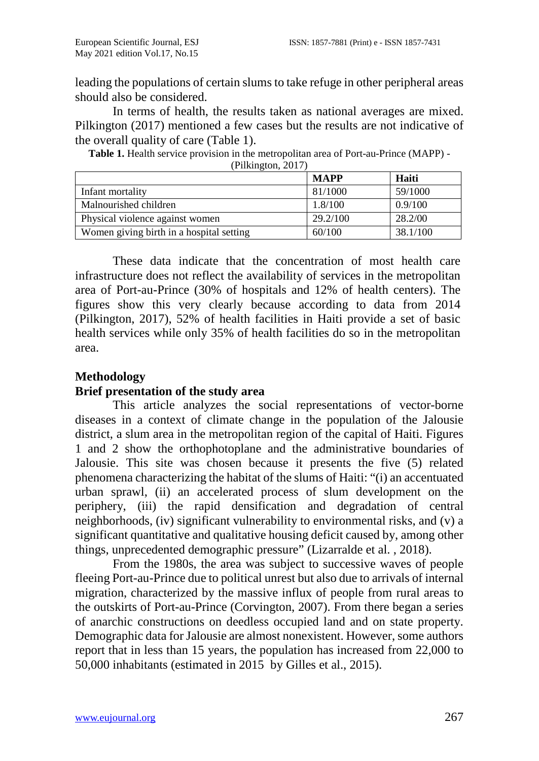leading the populations of certain slums to take refuge in other peripheral areas should also be considered.

In terms of health, the results taken as national averages are mixed. Pilkington (2017) mentioned a few cases but the results are not indicative of the overall quality of care (Table 1).

**Table 1.** Health service provision in the metropolitan area of Port-au-Prince (MAPP) - (Pilkington, 2017)

|                                          | <b>MAPP</b> | Haiti    |
|------------------------------------------|-------------|----------|
| Infant mortality                         | 81/1000     | 59/1000  |
| Malnourished children                    | 1.8/100     | 0.9/100  |
| Physical violence against women          | 29.2/100    | 28.2/00  |
| Women giving birth in a hospital setting | 60/100      | 38.1/100 |

These data indicate that the concentration of most health care infrastructure does not reflect the availability of services in the metropolitan area of Port-au-Prince (30% of hospitals and 12% of health centers). The figures show this very clearly because according to data from 2014 (Pilkington, 2017), 52% of health facilities in Haiti provide a set of basic health services while only 35% of health facilities do so in the metropolitan area.

### **Methodology**

### **Brief presentation of the study area**

This article analyzes the social representations of vector-borne diseases in a context of climate change in the population of the Jalousie district, a slum area in the metropolitan region of the capital of Haiti. Figures 1 and 2 show the orthophotoplane and the administrative boundaries of Jalousie. This site was chosen because it presents the five (5) related phenomena characterizing the habitat of the slums of Haiti: "(i) an accentuated urban sprawl, (ii) an accelerated process of slum development on the periphery, (iii) the rapid densification and degradation of central neighborhoods, (iv) significant vulnerability to environmental risks, and (v) a significant quantitative and qualitative housing deficit caused by, among other things, unprecedented demographic pressure" (Lizarralde et al. , 2018).

From the 1980s, the area was subject to successive waves of people fleeing Port-au-Prince due to political unrest but also due to arrivals of internal migration, characterized by the massive influx of people from rural areas to the outskirts of Port-au-Prince (Corvington, 2007). From there began a series of anarchic constructions on deedless occupied land and on state property. Demographic data for Jalousie are almost nonexistent. However, some authors report that in less than 15 years, the population has increased from 22,000 to 50,000 inhabitants (estimated in 2015 by Gilles et al., 2015).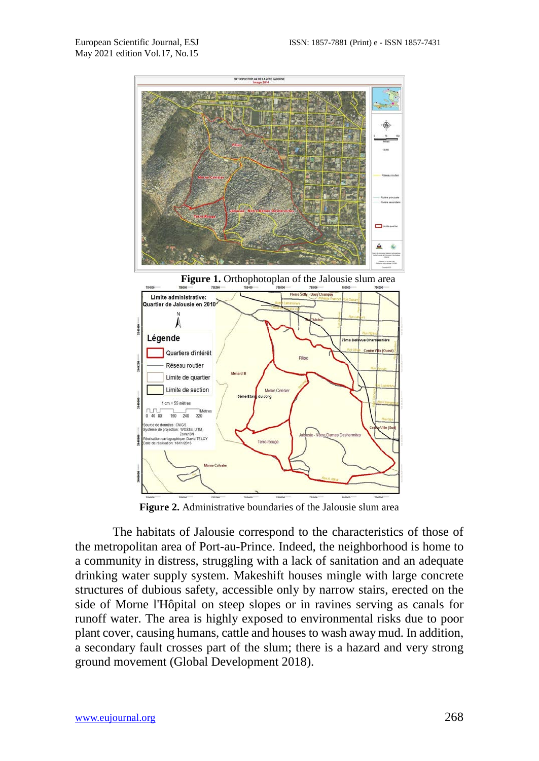

**Figure 1.** Orthophotoplan of the Jalousie slum area



**Figure 2.** Administrative boundaries of the Jalousie slum area

The habitats of Jalousie correspond to the characteristics of those of the metropolitan area of Port-au-Prince. Indeed, the neighborhood is home to a community in distress, struggling with a lack of sanitation and an adequate drinking water supply system. Makeshift houses mingle with large concrete structures of dubious safety, accessible only by narrow stairs, erected on the side of Morne l'Hôpital on steep slopes or in ravines serving as canals for runoff water. The area is highly exposed to environmental risks due to poor plant cover, causing humans, cattle and houses to wash away mud. In addition, a secondary fault crosses part of the slum; there is a hazard and very strong ground movement (Global Development 2018).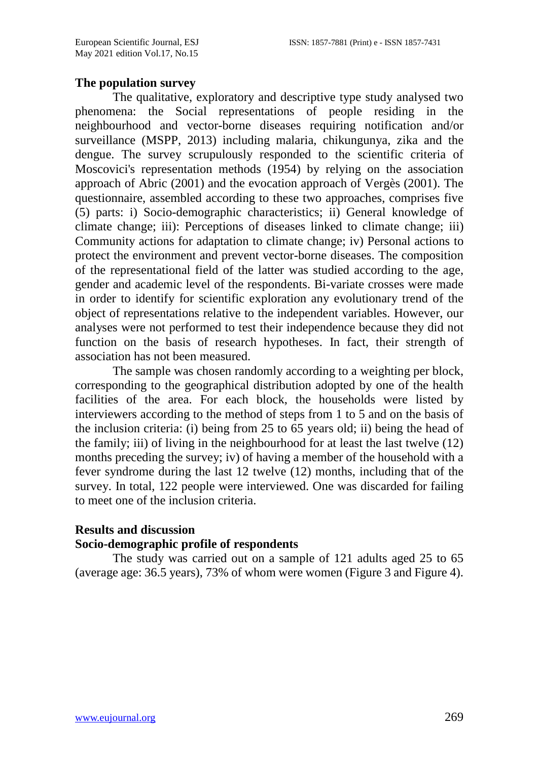#### **The population survey**

The qualitative, exploratory and descriptive type study analysed two phenomena: the Social representations of people residing in the neighbourhood and vector-borne diseases requiring notification and/or surveillance (MSPP, 2013) including malaria, chikungunya, zika and the dengue. The survey scrupulously responded to the scientific criteria of Moscovici's representation methods (1954) by relying on the association approach of Abric (2001) and the evocation approach of Vergès (2001). The questionnaire, assembled according to these two approaches, comprises five (5) parts: i) Socio-demographic characteristics; ii) General knowledge of climate change; iii): Perceptions of diseases linked to climate change; iii) Community actions for adaptation to climate change; iv) Personal actions to protect the environment and prevent vector-borne diseases. The composition of the representational field of the latter was studied according to the age, gender and academic level of the respondents. Bi-variate crosses were made in order to identify for scientific exploration any evolutionary trend of the object of representations relative to the independent variables. However, our analyses were not performed to test their independence because they did not function on the basis of research hypotheses. In fact, their strength of association has not been measured.

The sample was chosen randomly according to a weighting per block, corresponding to the geographical distribution adopted by one of the health facilities of the area. For each block, the households were listed by interviewers according to the method of steps from 1 to 5 and on the basis of the inclusion criteria: (i) being from 25 to 65 years old; ii) being the head of the family; iii) of living in the neighbourhood for at least the last twelve (12) months preceding the survey; iv) of having a member of the household with a fever syndrome during the last 12 twelve (12) months, including that of the survey. In total, 122 people were interviewed. One was discarded for failing to meet one of the inclusion criteria.

# **Results and discussion Socio-demographic profile of respondents**

The study was carried out on a sample of 121 adults aged 25 to 65 (average age: 36.5 years), 73% of whom were women (Figure 3 and Figure 4).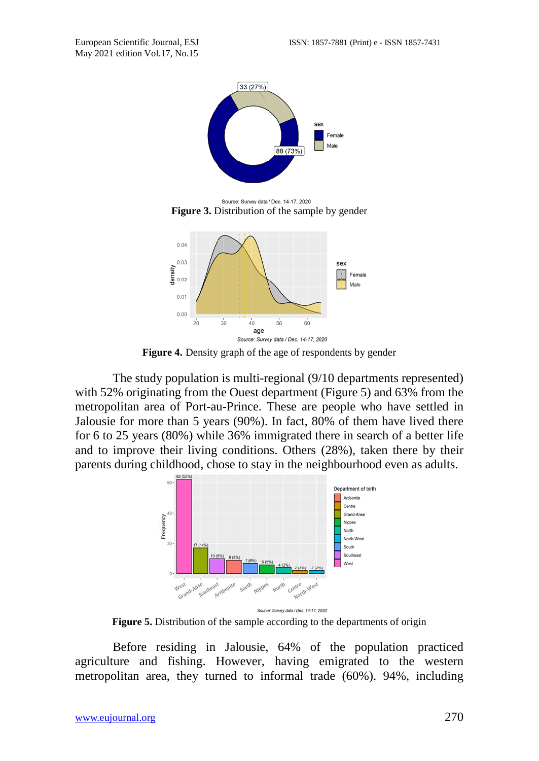

Source: Survey data / Dec. 14-17, 2020 **Figure 3.** Distribution of the sample by gender



**Figure 4.** Density graph of the age of respondents by gender

The study population is multi-regional (9/10 departments represented) with 52% originating from the Ouest department (Figure 5) and 63% from the metropolitan area of Port-au-Prince. These are people who have settled in Jalousie for more than 5 years (90%). In fact, 80% of them have lived there for 6 to 25 years (80%) while 36% immigrated there in search of a better life and to improve their living conditions. Others (28%), taken there by their parents during childhood, chose to stay in the neighbourhood even as adults.



**Figure 5.** Distribution of the sample according to the departments of origin

Before residing in Jalousie, 64% of the population practiced agriculture and fishing. However, having emigrated to the western metropolitan area, they turned to informal trade (60%). 94%, including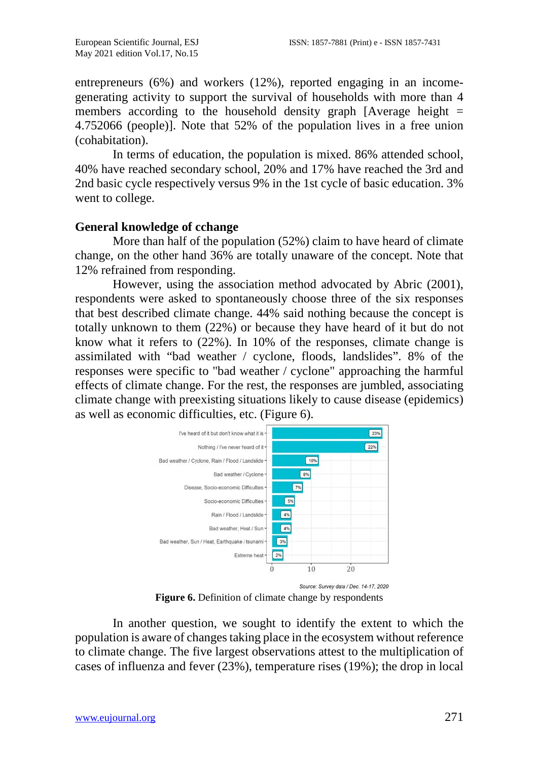entrepreneurs (6%) and workers (12%), reported engaging in an incomegenerating activity to support the survival of households with more than 4 members according to the household density graph [Average height  $=$ 4.752066 (people)]. Note that 52% of the population lives in a free union (cohabitation).

In terms of education, the population is mixed. 86% attended school, 40% have reached secondary school, 20% and 17% have reached the 3rd and 2nd basic cycle respectively versus 9% in the 1st cycle of basic education. 3% went to college.

#### **General knowledge of cchange**

More than half of the population (52%) claim to have heard of climate change, on the other hand 36% are totally unaware of the concept. Note that 12% refrained from responding.

However, using the association method advocated by Abric (2001), respondents were asked to spontaneously choose three of the six responses that best described climate change. 44% said nothing because the concept is totally unknown to them (22%) or because they have heard of it but do not know what it refers to (22%). In 10% of the responses, climate change is assimilated with "bad weather / cyclone, floods, landslides". 8% of the responses were specific to "bad weather / cyclone" approaching the harmful effects of climate change. For the rest, the responses are jumbled, associating climate change with preexisting situations likely to cause disease (epidemics) as well as economic difficulties, etc. (Figure 6).



Figure 6. Definition of climate change by respondents

In another question, we sought to identify the extent to which the population is aware of changes taking place in the ecosystem without reference to climate change. The five largest observations attest to the multiplication of cases of influenza and fever (23%), temperature rises (19%); the drop in local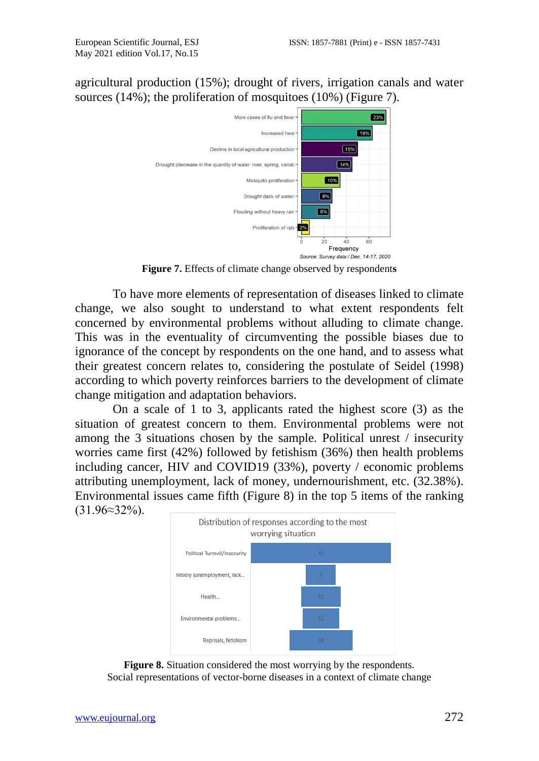agricultural production (15%); drought of rivers, irrigation canals and water sources (14%); the proliferation of mosquitoes (10%) (Figure 7).



**Figure 7.** Effects of climate change observed by respondent**s**

To have more elements of representation of diseases linked to climate change, we also sought to understand to what extent respondents felt concerned by environmental problems without alluding to climate change. This was in the eventuality of circumventing the possible biases due to ignorance of the concept by respondents on the one hand, and to assess what their greatest concern relates to, considering the postulate of Seidel (1998) according to which poverty reinforces barriers to the development of climate change mitigation and adaptation behaviors.

On a scale of 1 to 3, applicants rated the highest score (3) as the situation of greatest concern to them. Environmental problems were not among the 3 situations chosen by the sample. Political unrest / insecurity worries came first (42%) followed by fetishism (36%) then health problems including cancer, HIV and COVID19 (33%), poverty / economic problems attributing unemployment, lack of money, undernourishment, etc. (32.38%). Environmental issues came fifth (Figure 8) in the top 5 items of the ranking (31.96≈32%).



**Figure 8.** Situation considered the most worrying by the respondents. Social representations of vector-borne diseases in a context of climate change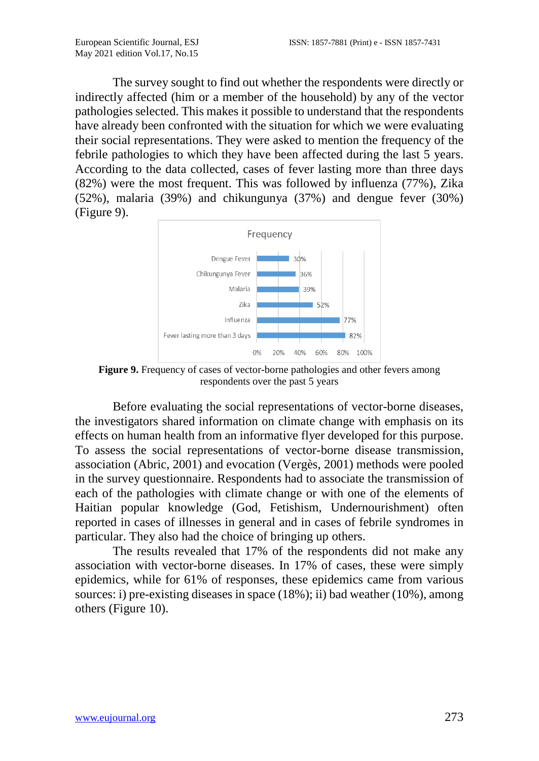The survey sought to find out whether the respondents were directly or indirectly affected (him or a member of the household) by any of the vector pathologies selected. This makes it possible to understand that the respondents have already been confronted with the situation for which we were evaluating their social representations. They were asked to mention the frequency of the febrile pathologies to which they have been affected during the last 5 years. According to the data collected, cases of fever lasting more than three days (82%) were the most frequent. This was followed by influenza (77%), Zika (52%), malaria (39%) and chikungunya (37%) and dengue fever (30%) (Figure 9).



**Figure 9.** Frequency of cases of vector-borne pathologies and other fevers among respondents over the past 5 years

Before evaluating the social representations of vector-borne diseases, the investigators shared information on climate change with emphasis on its effects on human health from an informative flyer developed for this purpose. To assess the social representations of vector-borne disease transmission, association (Abric, 2001) and evocation (Vergès, 2001) methods were pooled in the survey questionnaire. Respondents had to associate the transmission of each of the pathologies with climate change or with one of the elements of Haitian popular knowledge (God, Fetishism, Undernourishment) often reported in cases of illnesses in general and in cases of febrile syndromes in particular. They also had the choice of bringing up others.

The results revealed that 17% of the respondents did not make any association with vector-borne diseases. In 17% of cases, these were simply epidemics, while for 61% of responses, these epidemics came from various sources: i) pre-existing diseases in space (18%); ii) bad weather (10%), among others (Figure 10).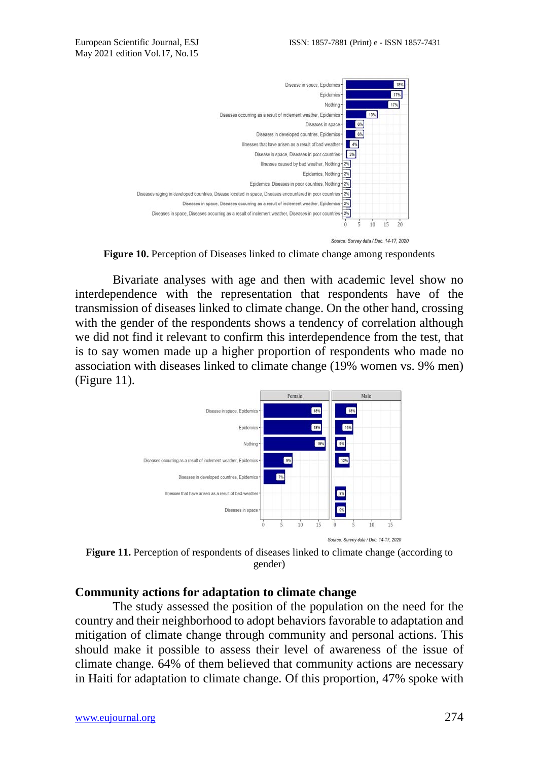



**Figure 10.** Perception of Diseases linked to climate change among respondents

Bivariate analyses with age and then with academic level show no interdependence with the representation that respondents have of the transmission of diseases linked to climate change. On the other hand, crossing with the gender of the respondents shows a tendency of correlation although we did not find it relevant to confirm this interdependence from the test, that is to say women made up a higher proportion of respondents who made no association with diseases linked to climate change (19% women vs. 9% men) (Figure 11).



**Figure 11.** Perception of respondents of diseases linked to climate change (according to gender)

#### **Community actions for adaptation to climate change**

The study assessed the position of the population on the need for the country and their neighborhood to adopt behaviors favorable to adaptation and mitigation of climate change through community and personal actions. This should make it possible to assess their level of awareness of the issue of climate change. 64% of them believed that community actions are necessary in Haiti for adaptation to climate change. Of this proportion, 47% spoke with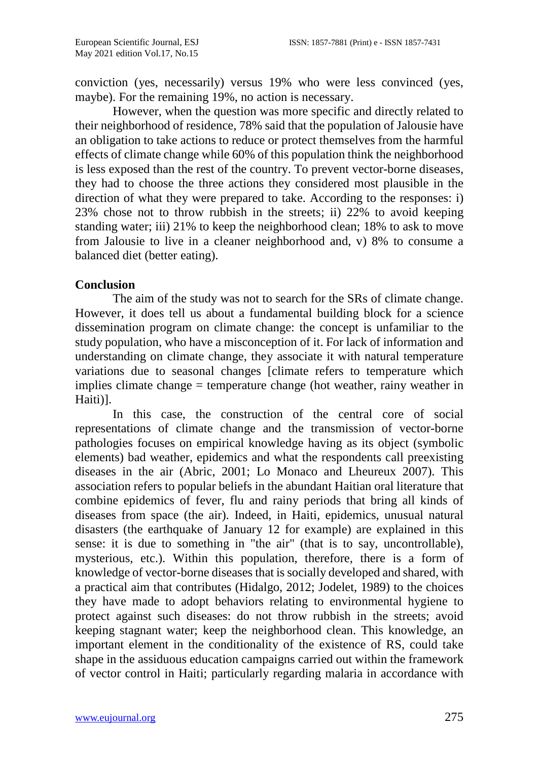conviction (yes, necessarily) versus 19% who were less convinced (yes, maybe). For the remaining 19%, no action is necessary.

However, when the question was more specific and directly related to their neighborhood of residence, 78% said that the population of Jalousie have an obligation to take actions to reduce or protect themselves from the harmful effects of climate change while 60% of this population think the neighborhood is less exposed than the rest of the country. To prevent vector-borne diseases, they had to choose the three actions they considered most plausible in the direction of what they were prepared to take. According to the responses: i) 23% chose not to throw rubbish in the streets; ii) 22% to avoid keeping standing water; iii) 21% to keep the neighborhood clean; 18% to ask to move from Jalousie to live in a cleaner neighborhood and, v) 8% to consume a balanced diet (better eating).

#### **Conclusion**

The aim of the study was not to search for the SRs of climate change. However, it does tell us about a fundamental building block for a science dissemination program on climate change: the concept is unfamiliar to the study population, who have a misconception of it. For lack of information and understanding on climate change, they associate it with natural temperature variations due to seasonal changes [climate refers to temperature which implies climate change = temperature change (hot weather, rainy weather in Haiti)].

In this case, the construction of the central core of social representations of climate change and the transmission of vector-borne pathologies focuses on empirical knowledge having as its object (symbolic elements) bad weather, epidemics and what the respondents call preexisting diseases in the air (Abric, 2001; Lo Monaco and Lheureux 2007). This association refers to popular beliefs in the abundant Haitian oral literature that combine epidemics of fever, flu and rainy periods that bring all kinds of diseases from space (the air). Indeed, in Haiti, epidemics, unusual natural disasters (the earthquake of January 12 for example) are explained in this sense: it is due to something in "the air" (that is to say, uncontrollable), mysterious, etc.). Within this population, therefore, there is a form of knowledge of vector-borne diseases that is socially developed and shared, with a practical aim that contributes (Hidalgo, 2012; Jodelet, 1989) to the choices they have made to adopt behaviors relating to environmental hygiene to protect against such diseases: do not throw rubbish in the streets; avoid keeping stagnant water; keep the neighborhood clean. This knowledge, an important element in the conditionality of the existence of RS, could take shape in the assiduous education campaigns carried out within the framework of vector control in Haiti; particularly regarding malaria in accordance with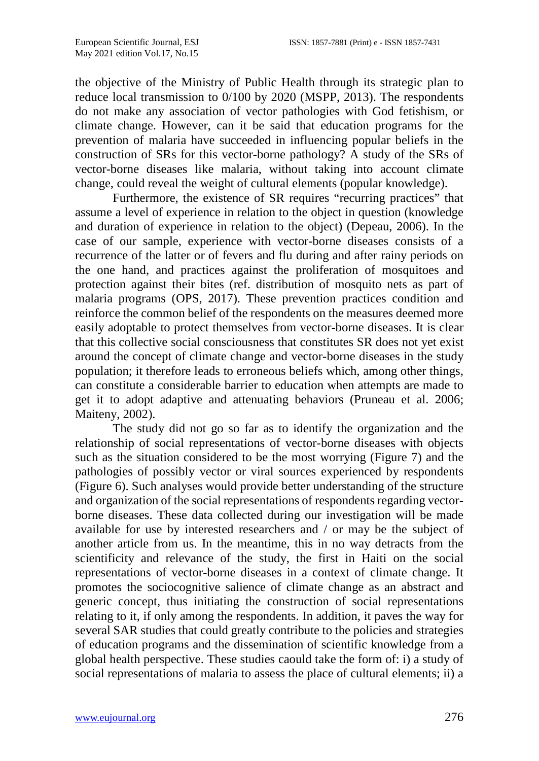the objective of the Ministry of Public Health through its strategic plan to reduce local transmission to 0/100 by 2020 (MSPP, 2013). The respondents do not make any association of vector pathologies with God fetishism, or climate change. However, can it be said that education programs for the prevention of malaria have succeeded in influencing popular beliefs in the construction of SRs for this vector-borne pathology? A study of the SRs of vector-borne diseases like malaria, without taking into account climate change, could reveal the weight of cultural elements (popular knowledge).

Furthermore, the existence of SR requires "recurring practices" that assume a level of experience in relation to the object in question (knowledge and duration of experience in relation to the object) (Depeau, 2006). In the case of our sample, experience with vector-borne diseases consists of a recurrence of the latter or of fevers and flu during and after rainy periods on the one hand, and practices against the proliferation of mosquitoes and protection against their bites (ref. distribution of mosquito nets as part of malaria programs (OPS, 2017). These prevention practices condition and reinforce the common belief of the respondents on the measures deemed more easily adoptable to protect themselves from vector-borne diseases. It is clear that this collective social consciousness that constitutes SR does not yet exist around the concept of climate change and vector-borne diseases in the study population; it therefore leads to erroneous beliefs which, among other things, can constitute a considerable barrier to education when attempts are made to get it to adopt adaptive and attenuating behaviors (Pruneau et al. 2006; Maiteny, 2002).

The study did not go so far as to identify the organization and the relationship of social representations of vector-borne diseases with objects such as the situation considered to be the most worrying (Figure 7) and the pathologies of possibly vector or viral sources experienced by respondents (Figure 6). Such analyses would provide better understanding of the structure and organization of the social representations of respondents regarding vectorborne diseases. These data collected during our investigation will be made available for use by interested researchers and / or may be the subject of another article from us. In the meantime, this in no way detracts from the scientificity and relevance of the study, the first in Haiti on the social representations of vector-borne diseases in a context of climate change. It promotes the sociocognitive salience of climate change as an abstract and generic concept, thus initiating the construction of social representations relating to it, if only among the respondents. In addition, it paves the way for several SAR studies that could greatly contribute to the policies and strategies of education programs and the dissemination of scientific knowledge from a global health perspective. These studies caould take the form of: i) a study of social representations of malaria to assess the place of cultural elements; ii) a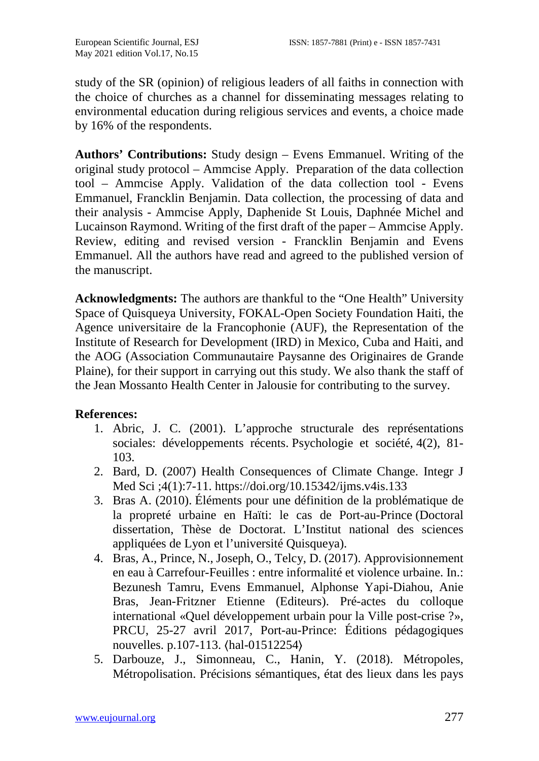study of the SR (opinion) of religious leaders of all faiths in connection with the choice of churches as a channel for disseminating messages relating to environmental education during religious services and events, a choice made by 16% of the respondents.

**Authors' Contributions:** Study design – Evens Emmanuel. Writing of the original study protocol – Ammcise Apply. Preparation of the data collection tool – Ammcise Apply. Validation of the data collection tool - Evens Emmanuel, Francklin Benjamin. Data collection, the processing of data and their analysis - Ammcise Apply, Daphenide St Louis, Daphnée Michel and Lucainson Raymond. Writing of the first draft of the paper – Ammcise Apply. Review, editing and revised version - Francklin Benjamin and Evens Emmanuel. All the authors have read and agreed to the published version of the manuscript.

**Acknowledgments:** The authors are thankful to the "One Health" University Space of Quisqueya University, FOKAL-Open Society Foundation Haiti, the Agence universitaire de la Francophonie (AUF), the Representation of the Institute of Research for Development (IRD) in Mexico, Cuba and Haiti, and the AOG (Association Communautaire Paysanne des Originaires de Grande Plaine), for their support in carrying out this study. We also thank the staff of the Jean Mossanto Health Center in Jalousie for contributing to the survey.

# **References:**

- 1. Abric, J. C. (2001). L'approche structurale des représentations sociales: développements récents. Psychologie et société, 4(2), 81- 103.
- 2. Bard, D. (2007) Health Consequences of Climate Change. Integr J Med Sci ;4(1):7-11.<https://doi.org/10.15342/ijms.v4is.133>
- 3. Bras A. (2010). Éléments pour une définition de la problématique de la propreté urbaine en Haïti: le cas de Port-au-Prince (Doctoral dissertation, Thèse de Doctorat. L'Institut national des sciences appliquées de Lyon et l'université Quisqueya).
- 4. Bras, A., Prince, N., Joseph, O., Telcy, D. (2017). Approvisionnement en eau à Carrefour-Feuilles : entre informalité et violence urbaine. In.: Bezunesh Tamru, Evens Emmanuel, Alphonse Yapi-Diahou, Anie Bras, Jean-Fritzner Etienne (Editeurs). Pré-actes du colloque international «Quel développement urbain pour la Ville post-crise ?», PRCU, 25-27 avril 2017, Port-au-Prince: Éditions pédagogiques nouvelles. p.107-113. ⟨[hal-01512254](https://hal.archives-ouvertes.fr/hal-01512254)⟩
- 5. Darbouze, J., Simonneau, C., Hanin, Y. (2018). Métropoles, Métropolisation. Précisions sémantiques, état des lieux dans les pays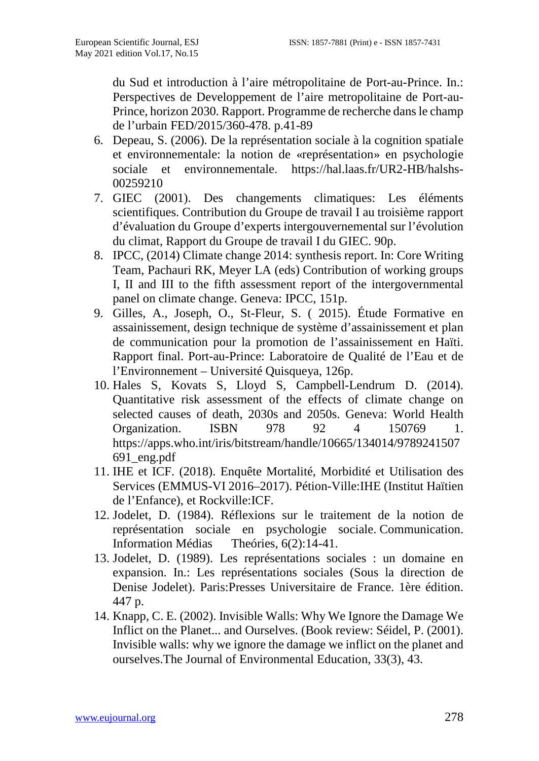du Sud et introduction à l'aire métropolitaine de Port-au-Prince. In.: Perspectives de Developpement de l'aire metropolitaine de Port-au-Prince, horizon 2030. Rapport. Programme de recherche dans le champ de l'urbain FED/2015/360-478. p.41-89

- 6. Depeau, S. (2006). De la représentation sociale à la cognition spatiale et environnementale: la notion de «représentation» en psychologie sociale et environnementale. [https://hal.laas.fr/UR2-HB/halshs-](https://hal.laas.fr/UR2-HB/halshs-00259210)[00259210](https://hal.laas.fr/UR2-HB/halshs-00259210)
- 7. GIEC (2001). Des changements climatiques: Les éléments scientifiques. Contribution du Groupe de travail I au troisième rapport d'évaluation du Groupe d'experts intergouvernemental sur l'évolution du climat, Rapport du Groupe de travail I du GIEC. 90p.
- 8. IPCC, (2014) Climate change 2014: synthesis report. In: Core Writing Team, Pachauri RK, Meyer LA (eds) Contribution of working groups I, II and III to the fifth assessment report of the intergovernmental panel on climate change. Geneva: IPCC, 151p.
- 9. Gilles, A., Joseph, O., St-Fleur, S. ( 2015). Étude Formative en assainissement, design technique de système d'assainissement et plan de communication pour la promotion de l'assainissement en Haïti. Rapport final. Port-au-Prince: Laboratoire de Qualité de l'Eau et de l'Environnement – Université Quisqueya, 126p.
- 10. Hales S, Kovats S, Lloyd S, Campbell-Lendrum D. (2014). Quantitative risk assessment of the effects of climate change on selected causes of death, 2030s and 2050s. Geneva: World Health Organization. ISBN 978 92 4 150769 1. [https://apps.who.int/iris/bitstream/handle/10665/134014/9789241507](https://apps.who.int/iris/bitstream/handle/10665/134014/9789241507691_eng.pdf) [691\\_eng.pdf](https://apps.who.int/iris/bitstream/handle/10665/134014/9789241507691_eng.pdf)
- 11. IHE et ICF. (2018). Enquête Mortalité, Morbidité et Utilisation des Services (EMMUS-VI 2016–2017). Pétion-Ville:IHE (Institut Haïtien de l'Enfance), et Rockville:ICF.
- 12. Jodelet, D. (1984). Réflexions sur le traitement de la notion de représentation sociale en psychologie sociale. Communication. Information Médias Theóries, 6(2):14-41.
- 13. Jodelet, D. (1989). Les représentations sociales : un domaine en expansion. In.: Les représentations sociales (Sous la direction de Denise Jodelet). Paris:Presses Universitaire de France. 1ère édition. 447 p.
- 14. Knapp, C. E. (2002). Invisible Walls: Why We Ignore the Damage We Inflict on the Planet... and Ourselves. (Book review: Séidel, P. (2001). Invisible walls: why we ignore the damage we inflict on the planet and ourselves.The Journal of Environmental Education, 33(3), 43.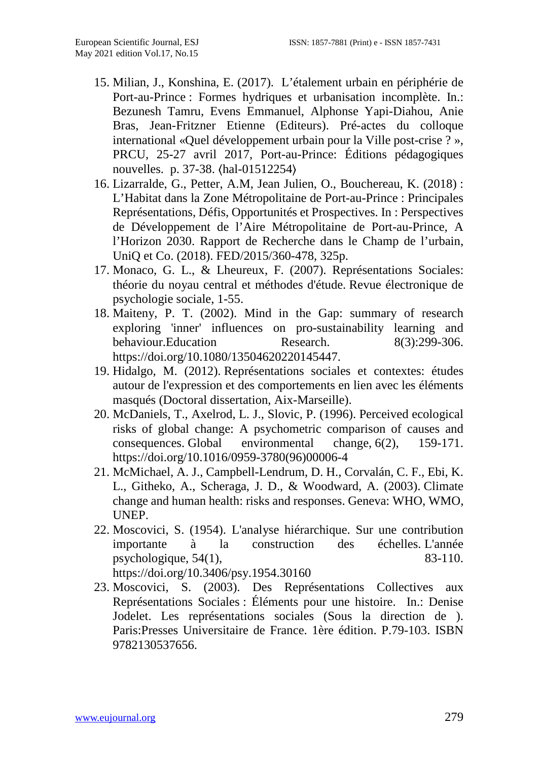- 15. Milian, J., Konshina, E. (2017). L'étalement urbain en périphérie de Port-au-Prince : Formes hydriques et urbanisation incomplète. In.: Bezunesh Tamru, Evens Emmanuel, Alphonse Yapi-Diahou, Anie Bras, Jean-Fritzner Etienne (Editeurs). Pré-actes du colloque international «Quel développement urbain pour la Ville post-crise ? », PRCU, 25-27 avril 2017, Port-au-Prince: Éditions pédagogiques nouvelles. p. 37-38. ⟨[hal-01512254](https://hal.archives-ouvertes.fr/hal-01512254)⟩
- 16. Lizarralde, G., Petter, A.M, Jean Julien, O., Bouchereau, K. (2018) : L'Habitat dans la Zone Métropolitaine de Port-au-Prince : Principales Représentations, Défis, Opportunités et Prospectives. In : Perspectives de Développement de l'Aire Métropolitaine de Port-au-Prince, A l'Horizon 2030. Rapport de Recherche dans le Champ de l'urbain, UniQ et Co. (2018). FED/2015/360-478, 325p.
- 17. Monaco, G. L., & Lheureux, F. (2007). Représentations Sociales: théorie du noyau central et méthodes d'étude. Revue électronique de psychologie sociale, 1-55.
- 18. Maiteny, P. T. (2002). Mind in the Gap: summary of research exploring 'inner' influences on pro-sustainability learning and<br>behaviour.Education Research. 8(3):299-306. behaviour.Education Research. [https://doi.org/10.1080/13504620220145447.](https://doi.org/10.1080/13504620220145447)
- 19. Hidalgo, M. (2012). Représentations sociales et contextes: études autour de l'expression et des comportements en lien avec les éléments masqués (Doctoral dissertation, Aix-Marseille).
- 20. McDaniels, T., Axelrod, L. J., Slovic, P. (1996). Perceived ecological risks of global change: A psychometric comparison of causes and consequences. Global environmental change, 6(2), 159-171. [https://doi.org/10.1016/0959-3780\(96\)00006-4](https://doi.org/10.1016/0959-3780(96)00006-4)
- 21. McMichael, A. J., Campbell-Lendrum, D. H., Corvalán, C. F., Ebi, K. L., Githeko, A., Scheraga, J. D., & Woodward, A. (2003). Climate change and human health: risks and responses. Geneva: WHO, WMO, UNEP.
- 22. Moscovici, S. (1954). L'analyse hiérarchique. Sur une contribution importante à la construction des échelles. L'année psychologique,  $54(1)$ , 83-110. <https://doi.org/10.3406/psy.1954.30160>
- 23. Moscovici, S. (2003). Des Représentations Collectives aux Représentations Sociales : Éléments pour une histoire. In.: Denise Jodelet. Les représentations sociales (Sous la direction de ). Paris:Presses Universitaire de France. 1ère édition. P.79-103. ISBN 9782130537656.